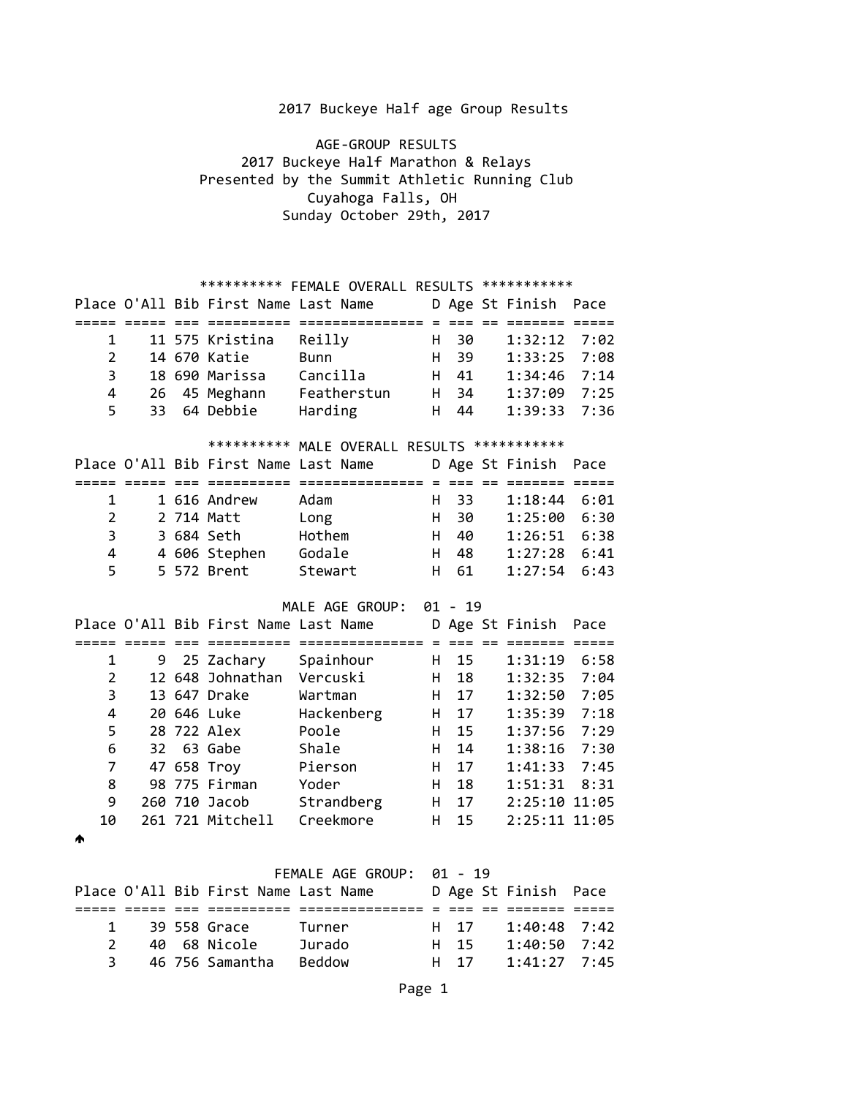AGE-GROUP RESULTS 2017 Buckeye Half Marathon & Relays Presented by the Summit Athletic Running Club Cuyahoga Falls, OH Sunday October 29th, 2017

# \*\*\*\*\*\*\*\*\*\* FEMALE OVERALL RESULTS \*\*\*\*\*\*\*\*\*\*\*

|                |        | Place O'All Bib First Name Last Name |                                              |    |           | D Age St Finish      | Pace |
|----------------|--------|--------------------------------------|----------------------------------------------|----|-----------|----------------------|------|
|                |        | --------                             | ===============                              |    | $---$     |                      |      |
| $\mathbf 1$    |        | 11 575 Kristina                      | Reilly                                       | Н. | 30        | 1:32:12              | 7:02 |
| $\overline{2}$ |        | 14 670 Katie                         | <b>Bunn</b>                                  | H. | 39        | 1:33:25              | 7:08 |
| 3              |        | 18 690 Marissa                       | Cancilla                                     | H. | 41        | 1:34:46              | 7:14 |
| 4              | 26     | 45 Meghann                           | Featherstun                                  |    | H 34      | 1:37:09              | 7:25 |
| 5              | 33     | 64 Debbie                            | Harding                                      | H. | 44        | 1:39:33              | 7:36 |
|                |        |                                      | ********** MALE OVERALL RESULTS ************ |    |           |                      |      |
|                |        | Place O'All Bib First Name Last Name |                                              |    |           | D Age St Finish Pace |      |
|                | ------ | =========                            | =============== = === == ======= =====       |    |           |                      |      |
| 1              |        | 1 616 Andrew                         | Adam                                         | H. | 33        | 1:18:44              | 6:01 |
| $\overline{2}$ |        | 2 714 Matt                           | Long                                         | H. | 30        | 1:25:00              | 6:30 |
| 3              |        | 3 684 Seth                           | Hothem                                       | H. | 40        | 1:26:51              | 6:38 |
| 4              |        | 4 606 Stephen                        | Godale                                       | H. | 48        | $1:27:28$ 6:41       |      |
| 5              |        | 5 572 Brent                          | Stewart                                      | H  | 61        | 1:27:54              | 6:43 |
|                |        |                                      | MALE AGE GROUP:                              |    | $01 - 19$ |                      |      |
|                |        | Place O'All Bib First Name Last Name |                                              |    |           | D Age St Finish      | Pace |
|                |        |                                      |                                              |    |           |                      |      |
| 1              | 9      | 25 Zachary                           | Spainhour                                    | Н. | 15        | 1:31:19              | 6:58 |
| $\overline{2}$ |        | 12 648 Johnathan                     | Vercuski                                     | H. | 18        | 1:32:35              | 7:04 |
| 3              |        | 13 647 Drake                         | Wartman                                      | H  | 17        | 1:32:50              | 7:05 |
| 4              |        | 20 646 Luke                          | Hackenberg                                   | H. | 17        | 1:35:39              | 7:18 |
| 5              |        | 28 722 Alex                          | Poole                                        | H. | 15        | 1:37:56              | 7:29 |
| 6              | 32     | 63 Gabe                              | Shale                                        | H  | 14        | 1:38:16              | 7:30 |
| $\overline{7}$ |        | 47 658 Troy                          | Pierson                                      | H. | 17        | 1:41:33              | 7:45 |
| 8              |        | 98 775 Firman                        | Yoder                                        | H. | 18        | 1:51:31              | 8:31 |
| 9              |        | 260 710 Jacob                        | Strandberg                                   | H  | 17        | 2:25:10 11:05        |      |
| 10             |        | 261 721 Mitchell                     | Creekmore                                    | н  | 15        | 2:25:11 11:05        |      |
|                |        |                                      |                                              |    |           |                      |      |

 $\blacklozenge$ 

### FEMALE AGE GROUP: 01 - 19

|               |              | Place O'All Bib First Name Last Name |               |      | D Age St Finish Pace |  |
|---------------|--------------|--------------------------------------|---------------|------|----------------------|--|
|               |              |                                      |               |      |                      |  |
|               | $\mathbf{1}$ | 39 558 Grace                         | Turner        | H 17 | $1:40:48$ 7:42       |  |
| $\mathcal{P}$ |              | 40 68 Nicole                         | Jurado        | H 15 | $1:40:50$ 7:42       |  |
| 3             |              | 46 756 Samantha                      | <b>Beddow</b> | H 17 | $1:41:27$ 7:45       |  |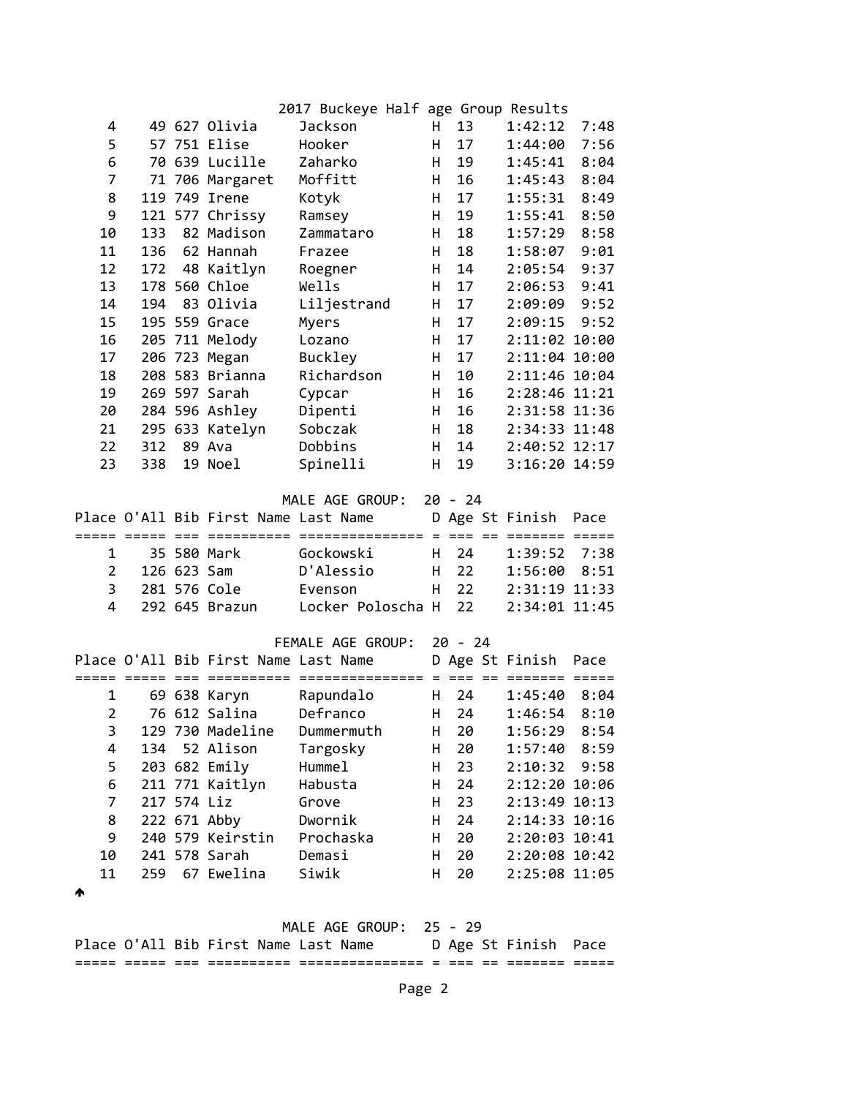|                |     |             |                                      | 2017 Buckeye Half age Group Results |           |           |                 |      |
|----------------|-----|-------------|--------------------------------------|-------------------------------------|-----------|-----------|-----------------|------|
| 4              |     |             | 49 627 Olivia                        | <b>Jackson</b>                      | H.        | 13        | 1:42:12         | 7:48 |
| 5              |     |             | 57 751 Elise                         | Hooker                              | н         | 17        | 1:44:00         | 7:56 |
| 6              |     |             | 70 639 Lucille                       | Zaharko                             | н         | 19        | 1:45:41         | 8:04 |
| 7              |     |             | 71 706 Margaret                      | Moffitt                             | н         | 16        | 1:45:43         | 8:04 |
| 8              |     |             | 119 749 Irene                        | Kotyk                               | H.        | 17        | 1:55:31         | 8:49 |
| 9              |     |             | 121 577 Chrissy                      | Ramsey                              | H         | 19        | 1:55:41         | 8:50 |
| 10             | 133 |             | 82 Madison                           | Zammataro                           | H         | 18        | 1:57:29         | 8:58 |
| 11             | 136 |             | 62 Hannah                            | Frazee                              | H         | 18        | 1:58:07         | 9:01 |
| 12             | 172 |             | 48 Kaitlyn                           | Roegner                             | H         | 14        | 2:05:54         | 9:37 |
| 13             |     |             | 178 560 Chloe                        | Wells                               | н         | 17        | 2:06:53         | 9:41 |
| 14             | 194 |             | 83 Olivia                            | Liljestrand                         | Η         | 17        | 2:09:09         | 9:52 |
| 15             |     |             | 195 559 Grace                        | Myers                               | H.        | 17        | 2:09:15         | 9:52 |
| 16             |     |             | 205 711 Melody                       | Lozano                              | H         | 17        | 2:11:02 10:00   |      |
| 17             |     |             | 206 723 Megan                        | Buckley                             | H         | 17        | 2:11:04 10:00   |      |
| 18             |     |             | 208 583 Brianna                      | Richardson                          | н         | 10        | 2:11:46 10:04   |      |
| 19             |     |             | 269 597 Sarah                        | Cypcar                              | H         | 16        | 2:28:46 11:21   |      |
| 20             |     |             | 284 596 Ashley                       | Dipenti                             | н         | 16        | 2:31:58 11:36   |      |
| 21             |     |             | 295 633 Katelyn                      | Sobczak                             | н         | 18        | 2:34:33 11:48   |      |
| 22             | 312 |             | 89 Ava                               | Dobbins                             | H         | 14        | 2:40:52 12:17   |      |
| 23             | 338 |             | 19 Noel                              | Spinelli                            | H         | 19        | 3:16:20 14:59   |      |
|                |     |             |                                      |                                     |           |           |                 |      |
|                |     |             |                                      | MALE AGE GROUP:                     | $20 - 24$ |           |                 |      |
|                |     |             | Place O'All Bib First Name Last Name |                                     |           |           | D Age St Finish | Pace |
|                |     |             |                                      |                                     |           |           |                 |      |
| 1              |     |             | 35 580 Mark                          | Gockowski                           | H.        | 24        | 1:39:52         | 7:38 |
| $\overline{2}$ |     | 126 623 Sam |                                      | D'Alessio                           | H.        | 22        | 1:56:00         | 8:51 |
| 3              |     |             | 281 576 Cole                         | Evenson                             | H.        | 22        | 2:31:19 11:33   |      |
| 4              |     |             | 292 645 Brazun                       | Locker Poloscha H                   |           | 22        | 2:34:01 11:45   |      |
|                |     |             |                                      |                                     |           |           |                 |      |
|                |     |             |                                      | FEMALE AGE GROUP:                   |           | $20 - 24$ |                 |      |
|                |     |             | Place O'All Bib First Name Last Name |                                     |           |           | D Age St Finish | Pace |
| ===== =====    |     |             |                                      |                                     |           |           |                 |      |
| 1              |     |             | 69 638 Karyn                         | Rapundalo                           | H         | 24        | 1:45:40         | 8:04 |
| $\overline{2}$ |     |             | 76 612 Salina                        | Defranco                            | H.        | 24        | 1:46:54         | 8:10 |
| 3              |     |             | 129 730 Madeline                     | Dummermuth                          | н         | 20        | 1:56:29         | 8:54 |
| 4              |     |             | 134 52 Alison                        | Targosky                            | H.        | 20        | 1:57:40         | 8:59 |
| 5              |     |             | 203 682 Emily                        | Humme1                              | H         | 23        | 2:10:32         | 9:58 |
| 6              |     |             | 211 771 Kaitlyn                      | Habusta                             | H.        | 24        | 2:12:20 10:06   |      |
| 7              |     | 217 574 Liz |                                      | Grove                               | H.        | 23        | 2:13:49 10:13   |      |
| 8              |     |             | 222 671 Abby                         | Dwornik                             | H.        | 24        | 2:14:33 10:16   |      |
| 9              |     |             | 240 579 Keirstin                     | Prochaska                           | H         | 20        | 2:20:03 10:41   |      |
| 10             |     |             | 241 578 Sarah                        | Demasi                              | H         | 20        | 2:20:08 10:42   |      |
| 11             |     |             | 259 67 Ewelina                       | Siwik                               | н         | 20        | 2:25:08 11:05   |      |
| ♠              |     |             |                                      |                                     |           |           |                 |      |
|                |     |             |                                      |                                     |           |           |                 |      |
|                |     |             |                                      | MALE AGE GROUP:                     | $25 - 29$ |           |                 |      |
|                |     |             | Place O'All Bib First Name Last Name |                                     |           |           | D Age St Finish | Pace |

===== ===== === ========== =============== = === == ======= =====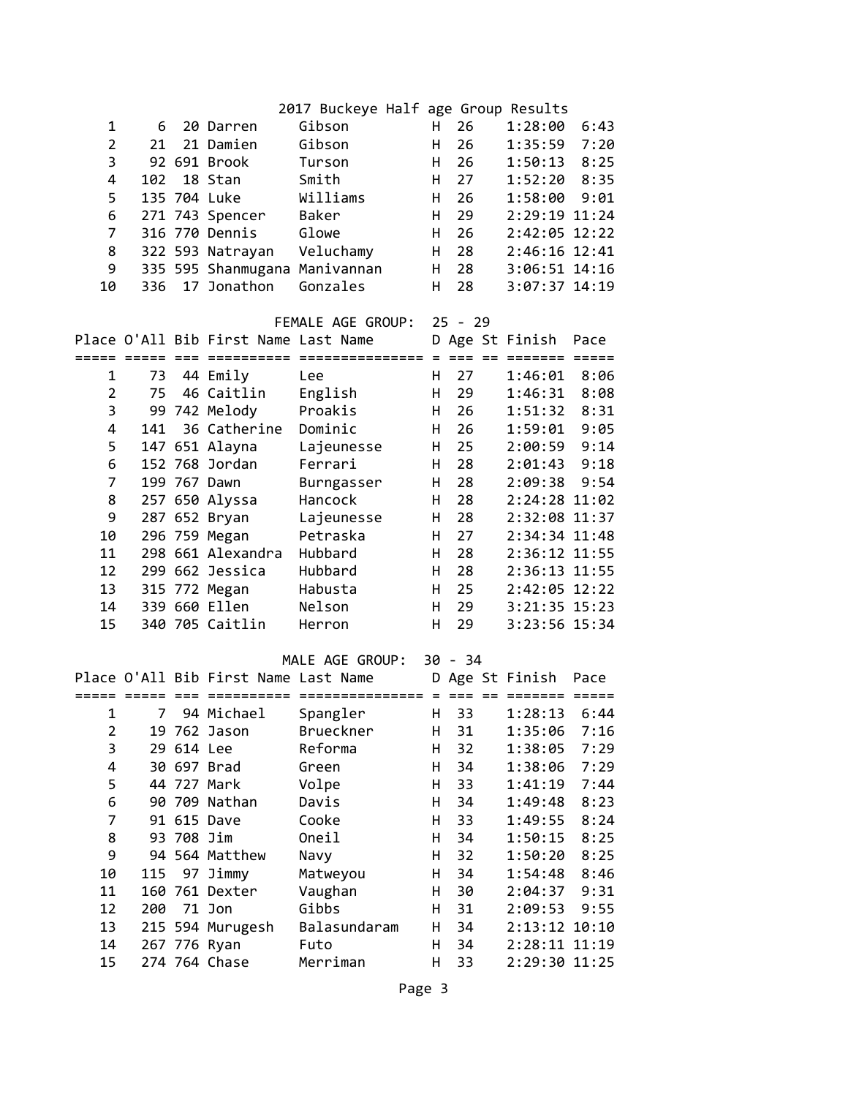|                |     |            |                                      | 2017 Buckeye Half age Group Results |    |           |                                |      |
|----------------|-----|------------|--------------------------------------|-------------------------------------|----|-----------|--------------------------------|------|
| 1              | 6   |            | 20 Darren                            | Gibson                              | H. | 26        | 1:28:00                        | 6:43 |
| $\overline{2}$ | 21  |            | 21 Damien                            | Gibson                              | H  | 26        | $1:35:59$ 7:20                 |      |
| 3              |     |            | 92 691 Brook                         | Turson                              | H  | 26        | 1:50:13                        | 8:25 |
| 4              | 102 |            | 18 Stan                              | Smith                               | H  | 27        | 1:52:20                        | 8:35 |
| 5              |     |            | 135 704 Luke                         | Williams                            | H  | 26        | 1:58:00                        | 9:01 |
| 6              |     |            | 271 743 Spencer                      | Baker                               | H  | 29        | 2:29:19 11:24                  |      |
| 7              |     |            | 316 770 Dennis                       | Glowe                               | H  | 26        | 2:42:05 12:22                  |      |
| 8              |     |            | 322 593 Natrayan                     | Veluchamy                           | H  | 28        | 2:46:16 12:41                  |      |
| 9              |     |            | 335 595 Shanmugana Manivannan        |                                     | H  | 28        | 3:06:51 14:16                  |      |
| 10             | 336 |            | 17 Jonathon                          | Gonzales                            | H  | 28        | 3:07:37 14:19                  |      |
|                |     |            |                                      | FEMALE AGE GROUP:                   |    | $25 - 29$ |                                |      |
|                |     |            | Place O'All Bib First Name Last Name |                                     |    |           | D Age St Finish                | Pace |
|                |     |            |                                      |                                     |    |           |                                |      |
| 1              | 73  |            | 44 Emily                             | Lee                                 | H  | 27        | 1:46:01                        | 8:06 |
| $\overline{2}$ | 75  |            | 46 Caitlin                           | English                             | H  | 29        | 1:46:31 8:08                   |      |
| 3              |     |            | 99 742 Melody                        | Proakis                             | H  | 26        | $1:51:32$ 8:31                 |      |
| 4              |     |            | 141 36 Catherine                     | Dominic                             | H  | 26        | 1:59:01 9:05                   |      |
| 5              |     |            | 147 651 Alayna                       | Lajeunesse                          | H  | 25        | 2:00:59 9:14                   |      |
| 6              |     |            | 152 768 Jordan                       | Ferrari                             | н  | 28        | 2:01:43                        | 9:18 |
| $\overline{7}$ |     |            | 199 767 Dawn                         | Burngasser                          | H  | 28        | 2:09:38                        | 9:54 |
| 8              |     |            | 257 650 Alyssa                       | Hancock                             | н  | 28        | 2:24:28 11:02                  |      |
| 9              |     |            | 287 652 Bryan                        | Lajeunesse                          | н  | 28        | 2:32:08 11:37                  |      |
| 10             |     |            | 296 759 Megan                        | Petraska                            | H  | 27        | 2:34:34 11:48                  |      |
| 11             |     |            | 298 661 Alexandra                    | Hubbard                             | H  | 28        | 2:36:12 11:55                  |      |
| 12             |     |            | 299 662 Jessica                      | Hubbard                             | н  | 28        | 2:36:13 11:55                  |      |
| 13             |     |            | 315 772 Megan                        | Habusta                             | H  | 25        | 2:42:05 12:22                  |      |
| 14             |     |            | 339 660 Ellen                        | Nelson                              | H  | 29        | 3:21:35 15:23                  |      |
| 15             |     |            | 340 705 Caitlin                      | Herron                              | H  | 29        | 3:23:56 15:34                  |      |
|                |     |            |                                      |                                     |    |           |                                |      |
|                |     |            |                                      | MALE AGE GROUP:                     |    | $30 - 34$ |                                |      |
|                |     |            | Place O'All Bib First Name Last Name |                                     |    |           | D Age St Finish<br>$=$ $=$ $-$ | Pace |
| 1              | 7   |            | 94 Michael                           | Spangler                            | н  | 33        | 1:28:13                        | 6:44 |
| 2              |     |            | 19 762 Jason                         | Brueckner                           | H  | 31        | 1:35:06                        | 7:16 |
| 3              |     | 29 614 Lee |                                      | Reforma                             | н  | 32        | 1:38:05                        | 7:29 |
| 4              |     |            | 30 697 Brad                          | Green                               | H  | 34        | 1:38:06                        | 7:29 |
| 5              |     |            | 44 727 Mark                          | Volpe                               | H  | 33        | 1:41:19                        | 7:44 |
| 6              |     |            | 90 709 Nathan                        | Davis                               | H  | 34        | 1:49:48                        | 8:23 |
| 7              |     |            | 91 615 Dave                          | Cooke                               | н  | 33        | 1:49:55                        | 8:24 |
| 8              |     | 93 708 Jim |                                      | Oneil                               | н  | 34        | 1:50:15                        | 8:25 |
| 9              |     |            | 94 564 Matthew                       | Navy                                | н  | 32        | 1:50:20                        | 8:25 |
| 10             | 115 |            | 97 Jimmy                             | Matweyou                            | H  | 34        | 1:54:48                        | 8:46 |
| 11             |     |            | 160 761 Dexter                       | Vaughan                             | н  | 30        | 2:04:37                        | 9:31 |
| 12             |     | 200 71 Jon |                                      | Gibbs                               | н  | 31        | 2:09:53                        | 9:55 |
| 13             |     |            | 215 594 Murugesh                     | Balasundaram                        | н  | 34        | 2:13:12 10:10                  |      |
| 14             |     |            | 267 776 Ryan                         | Futo                                | н  | 34        | 2:28:11 11:19                  |      |
| 15             |     |            | 274 764 Chase                        | Merriman                            | н  | 33        | 2:29:30 11:25                  |      |
|                |     |            |                                      |                                     |    |           |                                |      |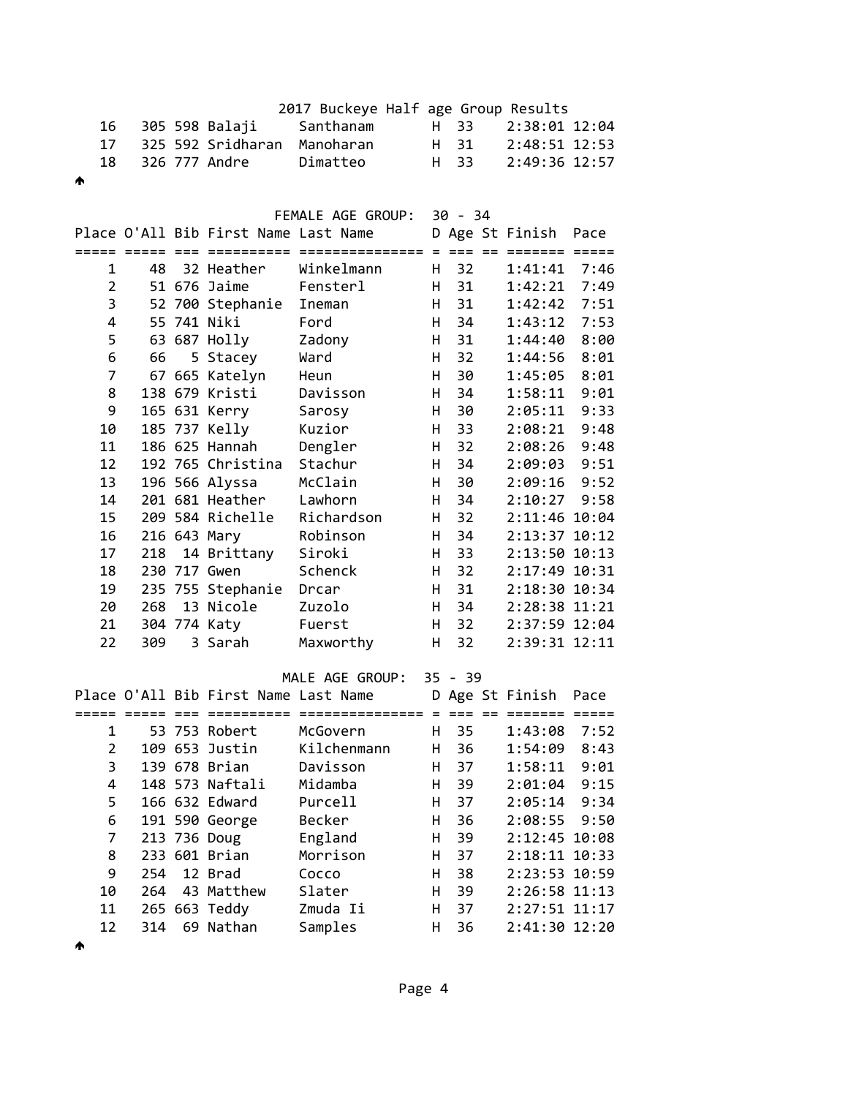|   |     |  |                   | 2017 Buckeye Half age Group Results |      |      |                 |  |
|---|-----|--|-------------------|-------------------------------------|------|------|-----------------|--|
|   | 16  |  | 305 598 Balaji    | Santhanam                           |      | H 33 | 2:38:01 12:04   |  |
|   | 17  |  | 325 592 Sridharan | Manoharan                           | H 31 |      | 2:48:51 12:53   |  |
|   | 18. |  | 326 777 Andre     | Dimatteo                            |      | H 33 | $2:49:36$ 12:57 |  |
| ∧ |     |  |                   |                                     |      |      |                 |  |

FEMALE AGE GROUP  $\cdot$  30 - 34

|                |     |                                      | FLMALE AUL UNVUF.        | שכ | - 54 |                         |         |
|----------------|-----|--------------------------------------|--------------------------|----|------|-------------------------|---------|
|                |     | Place O'All Bib First Name Last Name |                          |    |      | D Age St Finish         | Pace    |
|                |     | =========                            | =============== = === == |    |      | $=$ $=$ $=$ $=$ $=$ $=$ | $=====$ |
| $\mathbf{1}$   | 48  | 32 Heather                           | Winkelmann               | H. | 32   | 1:41:41                 | 7:46    |
| $\overline{2}$ |     | 51 676 Jaime                         | Fensterl                 | H  | 31   | 1:42:21                 | 7:49    |
| 3              |     | 52 700 Stephanie                     | Ineman                   | H  | 31   | 1:42:42                 | 7:51    |
| 4              |     | 55 741 Niki                          | Ford                     | H. | 34   | 1:43:12                 | 7:53    |
| 5              |     | 63 687 Holly                         | Zadony                   | H  | 31   | 1:44:40                 | 8:00    |
| 6              | 66  | 5 Stacey                             | Ward                     | H  | 32   | 1:44:56                 | 8:01    |
| 7              |     | 67 665 Katelyn                       | Heun                     | H  | 30   | 1:45:05                 | 8:01    |
| 8              |     | 138 679 Kristi                       | Davisson                 | H  | 34   | 1:58:11                 | 9:01    |
| 9              |     | 165 631 Kerry                        | Sarosy                   | H  | 30   | 2:05:11                 | 9:33    |
| 10             |     | 185 737 Kelly                        | Kuzior                   | H  | 33   | 2:08:21                 | 9:48    |
| 11             |     | 186 625 Hannah                       | Dengler                  | H  | 32   | 2:08:26                 | 9:48    |
| 12             |     | 192 765 Christina                    | Stachur                  | H  | 34   | 2:09:03                 | 9:51    |
| 13             |     | 196 566 Alyssa                       | McClain                  | H  | 30   | 2:09:16                 | 9:52    |
| 14             |     | 201 681 Heather                      | Lawhorn                  | H  | 34   | 2:10:27                 | 9:58    |
| 15             |     | 209 584 Richelle                     | Richardson               | H  | 32   | 2:11:46 10:04           |         |
| 16             |     | 216 643 Mary                         | Robinson                 | H  | 34   | 2:13:37 10:12           |         |
| 17             | 218 | 14 Brittany                          | Siroki                   | H  | 33   | 2:13:50 10:13           |         |
| 18             |     | 230 717 Gwen                         | Schenck                  | H  | 32   | 2:17:49 10:31           |         |
| 19             |     | 235 755 Stephanie                    | Drcar                    | H  | 31   | 2:18:30 10:34           |         |
| 20             | 268 | 13 Nicole                            | Zuzolo                   | H  | 34   | 2:28:38 11:21           |         |
| 21             |     | 304 774 Katy                         | Fuerst                   | H  | 32   | 2:37:59 12:04           |         |
| 22             | 309 | 3 Sarah                              | Maxworthy                | H  | 32   | 2:39:31 12:11           |         |

MALE AGE GROUP: 35 - 39

|               |     | Place O'All Bib First Name Last Name |             |    |    | D Age St Finish | Pace |
|---------------|-----|--------------------------------------|-------------|----|----|-----------------|------|
|               |     |                                      |             |    |    |                 |      |
| 1             |     | 53 753 Robert                        | McGovern    | н  | 35 | 1:43:08         | 7:52 |
| $\mathcal{P}$ |     | 109 653 Justin                       | Kilchenmann | н  | 36 | 1:54:09         | 8:43 |
| 3             |     | 139 678 Brian                        | Davisson    | H. | 37 | 1:58:11         | 9:01 |
| 4             |     | 148 573 Naftali                      | Midamba     | н  | 39 | 2:01:04         | 9:15 |
| 5.            |     | 166 632 Edward                       | Purcell     | н  | 37 | 2:05:14         | 9:34 |
| 6             |     | 191 590 George                       | Becker      | н  | 36 | $2:08:55$ 9:50  |      |
| 7             |     | 213 736 Doug                         | England     | H. | 39 | $2:12:45$ 10:08 |      |
| 8             |     | 233 601 Brian                        | Morrison    | н  | 37 | $2:18:11$ 10:33 |      |
| 9             | 254 | 12 Brad                              | Cocco       | н  | 38 | $2:23:53$ 10:59 |      |
| 10            | 264 | 43 Matthew                           | Slater      | н  | 39 | $2:26:58$ 11:13 |      |
| 11            |     | 265 663 Teddy                        | Zmuda Ii    | н  | 37 | $2:27:51$ 11:17 |      |
| 12            | 314 | 69 Nathan                            | Samples     | н  | 36 | 2:41:30 12:20   |      |

 $\blacklozenge$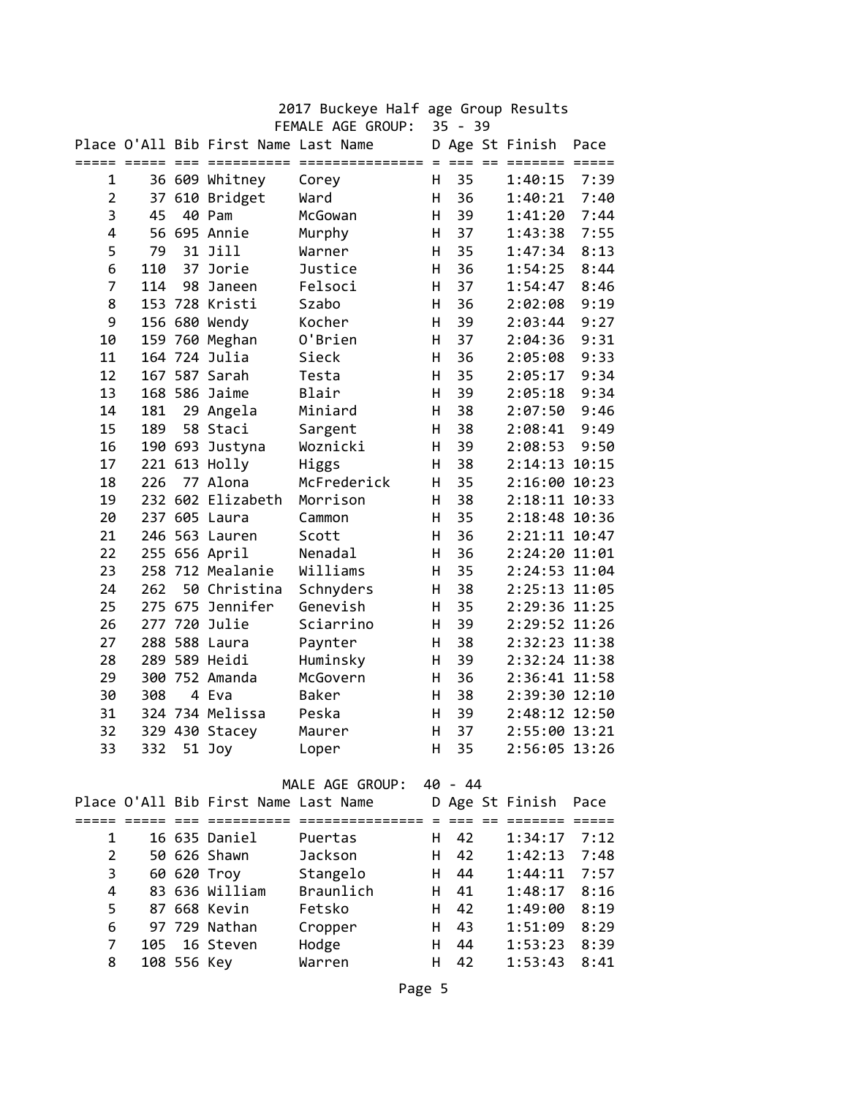|                | $35 - 39$<br>FEMALE AGE GROUP: |    |                                                    |                     |     |                 |     |                            |                         |
|----------------|--------------------------------|----|----------------------------------------------------|---------------------|-----|-----------------|-----|----------------------------|-------------------------|
|                | ===== =====                    |    | Place O'All Bib First Name Last Name<br>========== | ===============     | $=$ | $===$           | $=$ | D Age St Finish<br>======= | Pace<br>$=$ $=$ $=$ $=$ |
| 1              |                                |    | 36 609 Whitney                                     | Corey               | H.  | 35              |     | 1:40:15                    | 7:39                    |
| 2              | 37                             |    | 610 Bridget                                        | Ward                | н   | 36              |     | 1:40:21                    | 7:40                    |
| 3              | 45                             |    | 40 Pam                                             | McGowan             | н   | 39              |     | 1:41:20                    | 7:44                    |
| 4              |                                |    | 56 695 Annie                                       | Murphy              | н   | 37              |     | 1:43:38                    | 7:55                    |
| 5              | 79                             |    | 31 Jill                                            | Warner              | H.  | 35              |     | 1:47:34                    | 8:13                    |
| 6              | 110                            |    | 37 Jorie                                           | Justice             | H   | 36              |     | 1:54:25                    | 8:44                    |
| 7              | 114                            | 98 | Janeen                                             | Felsoci             | H   | 37              |     | 1:54:47                    | 8:46                    |
| 8              |                                |    | 153 728 Kristi                                     | Szabo               | H   | 36              |     | 2:02:08                    | 9:19                    |
| 9              |                                |    | 156 680 Wendy                                      | Kocher              | H   | 39              |     | 2:03:44                    | 9:27                    |
| 10             |                                |    | 159 760 Meghan                                     | O'Brien             | н   | 37              |     | 2:04:36                    | 9:31                    |
| 11             |                                |    | 164 724 Julia                                      | Sieck               | H   | 36              |     | 2:05:08                    | 9:33                    |
| 12             |                                |    | 167 587 Sarah                                      | Testa               | H   | 35              |     | 2:05:17                    | 9:34                    |
| 13             |                                |    | 168 586 Jaime                                      | Blair               | H   | 39              |     | 2:05:18                    | 9:34                    |
| 14             | 181                            |    | 29 Angela                                          | Miniard             | H   | 38              |     | 2:07:50                    | 9:46                    |
| 15             | 189                            |    | 58 Staci                                           |                     | H   | 38              |     | 2:08:41                    | 9:49                    |
| 16             |                                |    | 190 693 Justyna                                    | Sargent<br>Woznicki | H   | 39              |     | 2:08:53                    | 9:50                    |
|                |                                |    |                                                    |                     |     |                 |     |                            |                         |
| 17             |                                |    | 221 613 Holly                                      | Higgs               | н   | 38              |     | 2:14:13 10:15              |                         |
| 18             | 226                            |    | 77 Alona                                           | McFrederick         | H   | 35              |     | 2:16:00 10:23              |                         |
| 19             |                                |    | 232 602 Elizabeth                                  | Morrison            | H.  | 38              |     | 2:18:11 10:33              |                         |
| 20             |                                |    | 237 605 Laura                                      | Cammon              | H   | 35              |     | 2:18:48 10:36              |                         |
| 21             |                                |    | 246 563 Lauren                                     | Scott               | H   | 36              |     | 2:21:11 10:47              |                         |
| 22             |                                |    | 255 656 April                                      | Nenadal             | H   | 36              |     | 2:24:20 11:01              |                         |
| 23             |                                |    | 258 712 Mealanie                                   | Williams            | H   | 35              |     | 2:24:53 11:04              |                         |
| 24             | 262                            |    | 50 Christina                                       | Schnyders           | н   | 38              |     | 2:25:13 11:05              |                         |
| 25             |                                |    | 275 675 Jennifer                                   | Genevish            | Η   | 35              |     | 2:29:36 11:25              |                         |
| 26             |                                |    | 277 720 Julie                                      | Sciarrino           | Η   | 39              |     | 2:29:52 11:26              |                         |
| 27             |                                |    | 288 588 Laura                                      | Paynter             | H   | 38              |     | 2:32:23 11:38              |                         |
| 28             |                                |    | 289 589 Heidi                                      | Huminsky            | H   | 39              |     | 2:32:24 11:38              |                         |
| 29             |                                |    | 300 752 Amanda                                     | McGovern            | H   | 36              |     | 2:36:41 11:58              |                         |
| 30             | 308                            |    | 4 Eva                                              | Baker               | H   | 38              |     | 2:39:30 12:10              |                         |
| 31             |                                |    | 324 734 Melissa                                    | Peska               | н   | 39              |     | 2:48:12 12:50              |                         |
| 32             |                                |    | 329 430 Stacey                                     | Maurer              | Η   | 37              |     | 2:55:00 13:21              |                         |
| 33             | 332                            |    | 51 Joy                                             | Loper               | H   | 35              |     | 2:56:05 13:26              |                         |
|                |                                |    |                                                    | MALE AGE GROUP:     |     | 40 - 44         |     |                            |                         |
|                |                                |    | Place O'All Bib First Name Last Name               |                     |     |                 |     | D Age St Finish            | Pace                    |
|                |                                |    |                                                    |                     |     | $=$ $=$ $=$ $=$ |     |                            |                         |
| 1              |                                |    | 16 635 Daniel                                      | Puertas             | H.  | 42              |     | 1:34:17                    | 7:12                    |
| $\overline{2}$ |                                |    | 50 626 Shawn                                       | Jackson             | H.  | 42              |     | 1:42:13                    | 7:48                    |
| 3              |                                |    | 60 620 Troy                                        | Stangelo            | H.  | 44              |     | 1:44:11                    | 7:57                    |
| 4              |                                |    | 83 636 William                                     | Braunlich           | H.  | 41              |     | 1:48:17                    | 8:16                    |
| 5              |                                |    | 87 668 Kevin                                       | Fetsko              | H   | 42              |     | 1:49:00                    | 8:19                    |
| 6              |                                |    | 97 729 Nathan                                      | Cropper             | H   | 43              |     | 1:51:09                    | 8:29                    |

 7 105 16 Steven Hodge H 44 1:53:23 8:39 8 108 556 Key Warren H 42 1:53:43 8:41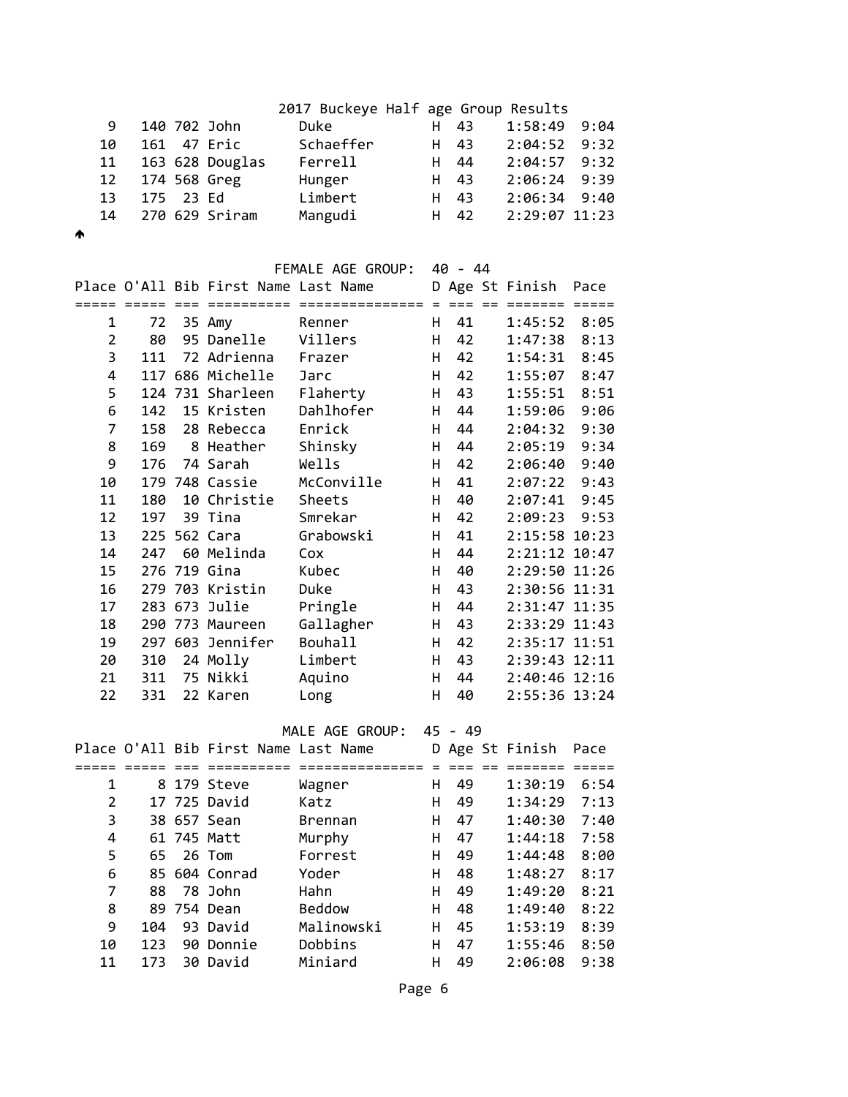| 9.  |  | 140 702 John    | Duke      | H 43 |      | 1:58:49 9:04   |  |
|-----|--|-----------------|-----------|------|------|----------------|--|
| 10  |  | 161 47 Eric     | Schaeffer | H 43 |      | $2:04:52$ 9:32 |  |
| 11  |  | 163 628 Douglas | Ferrell   |      | H 44 | $2:04:57$ 9:32 |  |
|     |  | 12 174 568 Greg | Hunger    | H 43 |      | $2:06:24$ 9:39 |  |
| 13. |  | 175 23 Ed       | Limbert   | H 43 |      | $2:06:34$ 9:40 |  |
| 14  |  | 270 629 Sriram  | Mangudi   |      | H 42 | 2:29:07 11:23  |  |
|     |  |                 |           |      |      |                |  |

 $\blacktriangle$ 

#### FEMALE AGE GROUP: 40 - 44

|    |     | Place O'All Bib First Name Last Name |                |    |                     | D Age St Finish | Pace |
|----|-----|--------------------------------------|----------------|----|---------------------|-----------------|------|
|    |     | =========                            |                |    | $=$ $=$ $=$ $=$ $=$ |                 |      |
| 1  | 72  | 35 Amy                               | Renner         | H. | 41                  | $1:45:52$ 8:05  |      |
| 2  | 80  | 95 Danelle                           | Villers        | н  | 42                  | 1:47:38         | 8:13 |
| 3  | 111 | 72 Adrienna                          | Frazer         | H. | 42                  | 1:54:31         | 8:45 |
| 4  |     | 117 686 Michelle                     | Jarc           | H  | 42                  | 1:55:07         | 8:47 |
| 5  |     | 124 731 Sharleen                     | Flaherty       | H  | 43                  | 1:55:51         | 8:51 |
| 6  | 142 | 15 Kristen                           | Dahlhofer      | H  | 44                  | 1:59:06         | 9:06 |
| 7  | 158 | 28 Rebecca                           | Enrick         | H  | 44                  | 2:04:32         | 9:30 |
| 8  | 169 | 8 Heather                            | Shinsky        | H  | 44                  | 2:05:19         | 9:34 |
| 9  | 176 | 74 Sarah                             | Wells          | H  | 42                  | 2:06:40         | 9:40 |
| 10 |     | 179 748 Cassie                       | McConville     | H  | 41                  | 2:07:22         | 9:43 |
| 11 | 180 | 10 Christie                          | Sheets         | H  | 40                  | 2:07:41         | 9:45 |
| 12 | 197 | 39 Tina                              | Smrekar        | H  | 42                  | 2:09:23         | 9:53 |
| 13 |     | 225 562 Cara                         | Grabowski      | H  | 41                  | 2:15:58 10:23   |      |
| 14 | 247 | 60 Melinda                           | Cox            | н  | 44                  | 2:21:12 10:47   |      |
| 15 |     | 276 719 Gina                         | Kubec          | H  | 40                  | 2:29:50 11:26   |      |
| 16 |     | 279 703 Kristin                      | Duke           | H  | 43                  | 2:30:56 11:31   |      |
| 17 |     | 283 673 Julie                        | Pringle        | H  | 44                  | 2:31:47 11:35   |      |
| 18 |     | 290 773 Maureen                      | Gallagher      | H  | 43                  | 2:33:29 11:43   |      |
| 19 |     | 297 603 Jennifer                     | <b>Bouhall</b> | H  | 42                  | 2:35:17 11:51   |      |
| 20 | 310 | 24 Molly                             | Limbert        | H  | 43                  | 2:39:43 12:11   |      |
| 21 | 311 | 75 Nikki                             | Aquino         | H  | 44                  | 2:40:46 12:16   |      |
| 22 | 331 | 22 Karen                             | Long           | H. | 40                  | 2:55:36 13:24   |      |

MALE AGE GROUP: 45 - 49

| unuur : | 40 |  |
|---------|----|--|
|         |    |  |

|    |     | Place O'All Bib First Name Last Name |                |   |    | D Age St Finish | Pace |
|----|-----|--------------------------------------|----------------|---|----|-----------------|------|
|    |     |                                      |                |   |    |                 |      |
| 1  |     | 8 179 Steve                          | Wagner         | н | 49 | 1:30:19         | 6:54 |
| 2  |     | 17 725 David                         | Katz           | н | 49 | 1:34:29         | 7:13 |
| 3  |     | 38 657 Sean                          | <b>Brennan</b> | н | 47 | 1:40:30         | 7:40 |
| 4  |     | 61 745 Matt                          | Murphy         | н | 47 | 1:44:18         | 7:58 |
| 5  | 65. | 26 Tom                               | Forrest        | н | 49 | 1:44:48         | 8:00 |
| 6  |     | 85 604 Conrad                        | Yoder          | н | 48 | 1:48:27         | 8:17 |
| 7  | 88  | 78 John                              | Hahn           | н | 49 | 1:49:20         | 8:21 |
| 8  |     | 89 754 Dean                          | <b>Beddow</b>  | н | 48 | 1:49:40         | 8:22 |
| 9  | 104 | 93 David                             | Malinowski     | н | 45 | 1:53:19         | 8:39 |
| 10 | 123 | 90 Donnie                            | Dobbins        | н | 47 | 1:55:46         | 8:50 |
| 11 | 173 | 30 David                             | Miniard        | н | 49 | 2:06:08         | 9:38 |
|    |     |                                      |                |   |    |                 |      |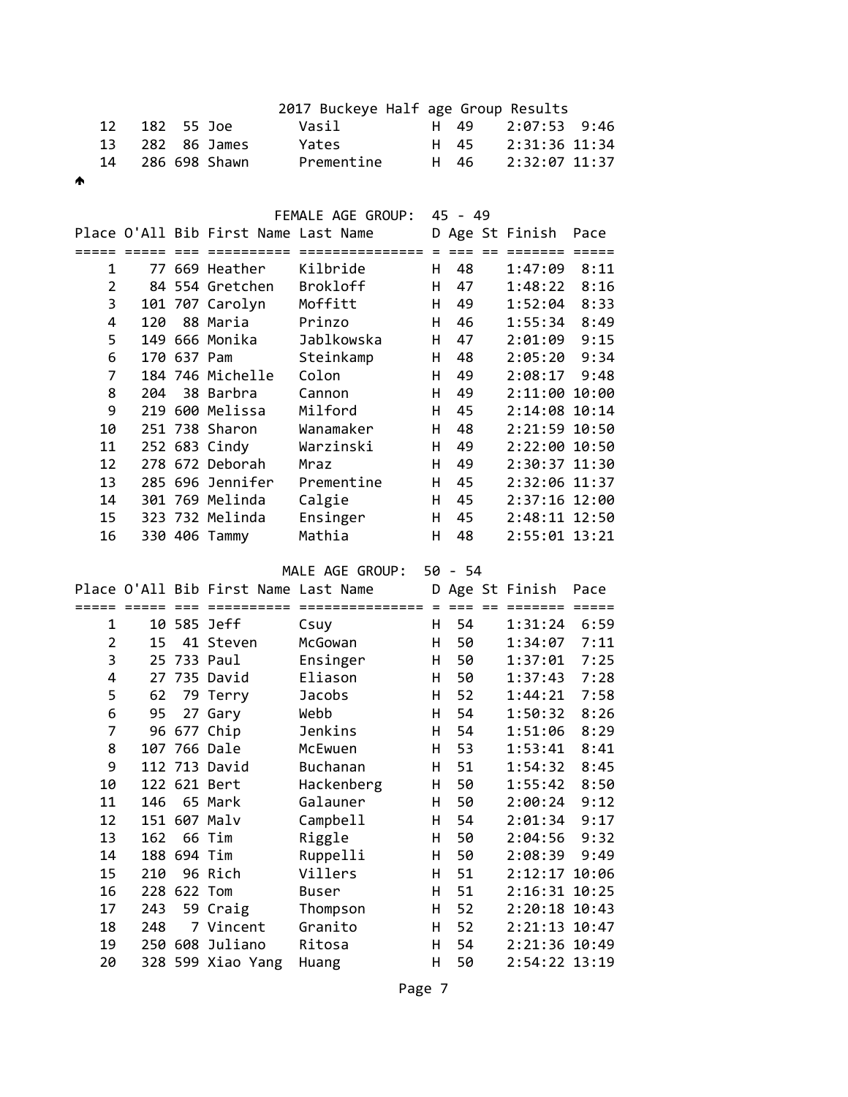|                |     |             |                                      | 2017 Buckeye Half age Group Results    |    |           |                 |      |
|----------------|-----|-------------|--------------------------------------|----------------------------------------|----|-----------|-----------------|------|
| 12             | 182 |             | 55 Joe                               | Vasil                                  | H. | 49        | 2:07:53         | 9:46 |
| 13             | 282 |             | 86 James                             | Yates                                  | H  | 45        | 2:31:36 11:34   |      |
| 14             |     |             | 286 698 Shawn                        | Prementine                             | H  | 46        | 2:32:07 11:37   |      |
| ∧              |     |             |                                      |                                        |    |           |                 |      |
|                |     |             |                                      |                                        |    |           |                 |      |
|                |     |             |                                      | FEMALE AGE GROUP:                      |    | $45 - 49$ |                 |      |
|                |     |             | Place O'All Bib First Name Last Name |                                        |    |           | D Age St Finish | Pace |
|                |     |             | ========                             | =============== = === == ======= ===== |    |           |                 |      |
| $\mathbf{1}$   |     |             | 77 669 Heather                       | Kilbride                               | H. | 48        | $1:47:09$ 8:11  |      |
| $\overline{2}$ |     |             | 84 554 Gretchen                      | Brokloff                               | H. | 47        | 1:48:22         | 8:16 |
| 3              |     |             | 101 707 Carolyn                      | Moffitt                                | H. | 49        | 1:52:04         | 8:33 |
| 4              |     |             | 120 88 Maria                         | Prinzo                                 | H. | 46        | 1:55:34         | 8:49 |
| 5              |     |             | 149 666 Monika                       | Jablkowska                             | H. | 47        | 2:01:09         | 9:15 |
| 6              |     | 170 637 Pam |                                      | Steinkamp                              | H. | 48        | 2:05:20         | 9:34 |
| $\overline{7}$ |     |             | 184 746 Michelle                     | Colon                                  | H. | 49        | 2:08:17         | 9:48 |
| 8              |     |             | 204 38 Barbra                        | Cannon                                 | Н. | 49        | 2:11:00 10:00   |      |
| 9              |     |             | 219 600 Melissa                      | Milford                                | H. | 45        | 2:14:08 10:14   |      |
| 10             |     |             | 251 738 Sharon                       | Wanamaker                              | H. | 48        | 2:21:59 10:50   |      |
| 11             |     |             | 252 683 Cindy                        | Warzinski                              | H. | 49        | 2:22:00 10:50   |      |
| 12             |     |             | 278 672 Deborah                      | Mraz                                   | H. | 49        | 2:30:37 11:30   |      |
| 13             |     |             | 285 696 Jennifer                     | Prementine                             | H. | 45        | 2:32:06 11:37   |      |
| 14             |     |             | 301 769 Melinda                      | Calgie                                 | H. | 45        | 2:37:16 12:00   |      |
| 15             |     |             | 323 732 Melinda                      | Ensinger                               | H  | 45        | 2:48:11 12:50   |      |
| 16             |     |             | 330 406 Tammy                        | Mathia                                 | H  | 48        | 2:55:01 13:21   |      |
|                |     |             |                                      |                                        |    |           |                 |      |

MALE AGE GROUP: 50 - 54

|                |     |             | Place O'All Bib First Name Last Name |               |   |    | D Age St Finish | Pace |
|----------------|-----|-------------|--------------------------------------|---------------|---|----|-----------------|------|
|                |     |             | =====                                | ============= |   |    |                 |      |
| 1              |     |             | 10 585 Jeff                          | Csuy          | H | 54 | 1:31:24         | 6:59 |
| $\overline{2}$ | 15  |             | 41 Steven                            | McGowan       | H | 50 | 1:34:07         | 7:11 |
| 3              |     |             | 25 733 Paul                          | Ensinger      | H | 50 | 1:37:01         | 7:25 |
| 4              |     |             | 27 735 David                         | Eliason       | н | 50 | 1:37:43         | 7:28 |
| 5              | 62  |             | 79 Terry                             | <b>Jacobs</b> | H | 52 | 1:44:21         | 7:58 |
| 6              | 95  |             | 27 Gary                              | Webb          | н | 54 | 1:50:32         | 8:26 |
| 7              |     |             | 96 677 Chip                          | Jenkins       | H | 54 | 1:51:06         | 8:29 |
| 8              |     |             | 107 766 Dale                         | McEwuen       | H | 53 | 1:53:41         | 8:41 |
| 9              |     |             | 112 713 David                        | Buchanan      | H | 51 | 1:54:32         | 8:45 |
| 10             |     |             | 122 621 Bert                         | Hackenberg    | H | 50 | 1:55:42         | 8:50 |
| 11             | 146 |             | 65 Mark                              | Galauner      | н | 50 | 2:00:24         | 9:12 |
| 12             |     |             | 151 607 Malv                         | Campbell      | H | 54 | 2:01:34         | 9:17 |
| 13             | 162 |             | 66 Tim                               | Riggle        | H | 50 | 2:04:56         | 9:32 |
| 14             |     | 188 694 Tim |                                      | Ruppelli      | H | 50 | 2:08:39         | 9:49 |
| 15             | 210 |             | 96 Rich                              | Villers       | H | 51 | 2:12:17 10:06   |      |
| 16             |     | 228 622 Tom |                                      | Buser         | H | 51 | 2:16:31 10:25   |      |
| 17             | 243 |             | 59 Craig                             | Thompson      | H | 52 | 2:20:18 10:43   |      |
| 18             | 248 |             | 7 Vincent                            | Granito       | н | 52 | 2:21:13 10:47   |      |
| 19             |     |             | 250 608 Juliano                      | Ritosa        | H | 54 | 2:21:36 10:49   |      |
| 20             |     |             | 328 599 Xiao Yang                    | Huang         | H | 50 | 2:54:22 13:19   |      |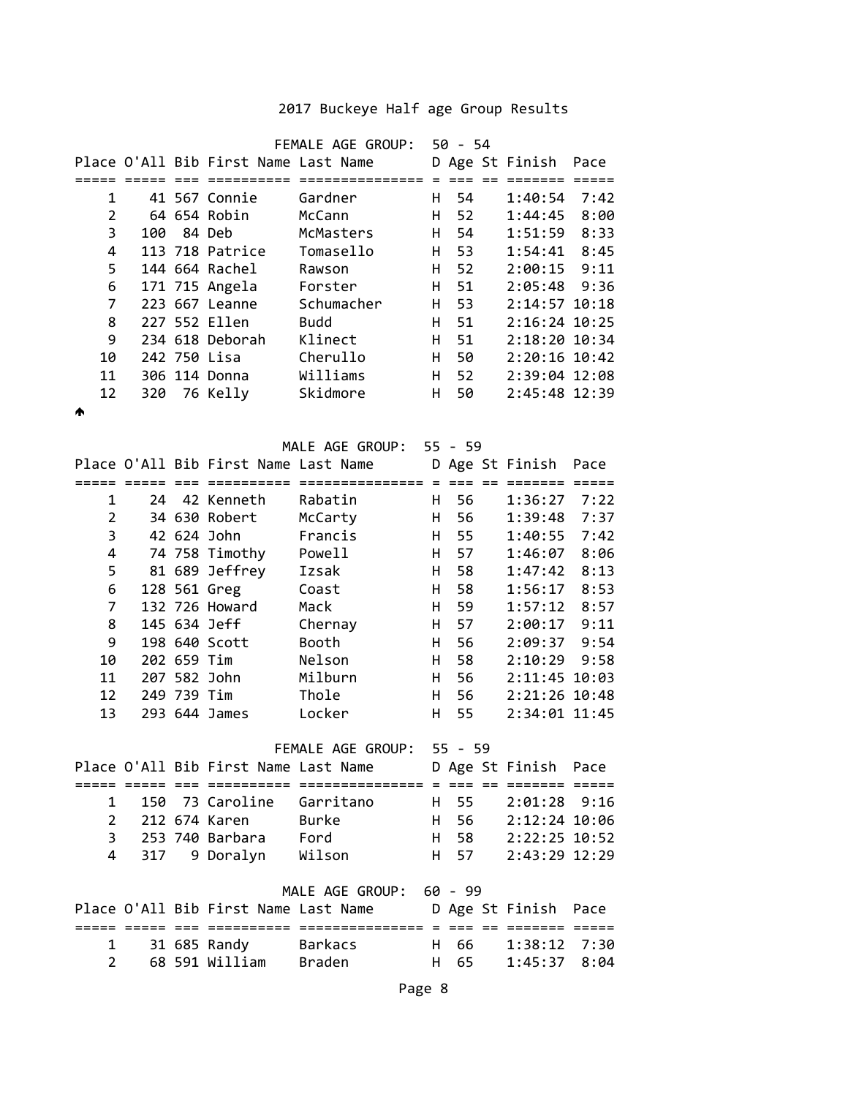|                     |     |             |                                      | FEMALE AGE GROUP: 50 - 54                                                            |         |           |  |                           |                         |
|---------------------|-----|-------------|--------------------------------------|--------------------------------------------------------------------------------------|---------|-----------|--|---------------------------|-------------------------|
|                     |     |             | Place O'All Bib First Name Last Name |                                                                                      |         |           |  | D Age St Finish           | Pace                    |
|                     |     |             |                                      |                                                                                      |         | 54        |  |                           |                         |
| 1<br>$\overline{2}$ |     |             | 41 567 Connie<br>64 654 Robin        | Gardner<br>McCann                                                                    | H<br>H. | 52        |  | 1:40:54<br>$1:44:45$ 8:00 | 7:42                    |
| 3                   | 100 |             | 84 Deb                               | McMasters                                                                            | H       | 54        |  | 1:51:59                   | 8:33                    |
| 4                   |     |             | 113 718 Patrice                      | Tomasello                                                                            | H       | 53        |  | 1:54:41                   | 8:45                    |
| 5                   |     |             | 144 664 Rachel                       | Rawson                                                                               | H.      | 52        |  | $2:00:15$ 9:11            |                         |
| 6                   |     |             | 171 715 Angela                       | Forster                                                                              | H       | 51        |  | 2:05:48 9:36              |                         |
| $\overline{7}$      |     |             | 223 667 Leanne                       | Schumacher                                                                           | H.      | 53        |  | 2:14:57 10:18             |                         |
| 8                   |     |             | 227 552 Ellen                        | <b>Budd</b>                                                                          | H       | 51        |  | 2:16:24 10:25             |                         |
| 9                   |     |             | 234 618 Deborah                      | Klinect                                                                              | H.      | 51        |  | 2:18:20 10:34             |                         |
| 10                  |     |             | 242 750 Lisa                         | Cherullo                                                                             | H.      | 50        |  | 2:20:16 10:42             |                         |
| 11                  |     |             | 306 114 Donna                        | Williams                                                                             | H.      | 52        |  | 2:39:04 12:08             |                         |
| 12                  |     |             | 320 76 Kelly                         | Skidmore                                                                             | H       | 50        |  | 2:45:48 12:39             |                         |
| ₳                   |     |             |                                      |                                                                                      |         |           |  |                           |                         |
|                     |     |             |                                      | MALE AGE GROUP: 55 - 59                                                              |         |           |  |                           |                         |
|                     |     |             | Place O'All Bib First Name Last Name |                                                                                      |         |           |  | D Age St Finish           |                         |
|                     |     |             |                                      |                                                                                      |         |           |  | =======                   | Pace<br>$=$ $=$ $=$ $=$ |
| 1                   | 24  |             | 42 Kenneth                           | Rabatin                                                                              | H.      | 56        |  | 1:36:27                   | 7:22                    |
| $\overline{2}$      |     |             | 34 630 Robert                        | McCarty                                                                              | H       | 56        |  | 1:39:48                   | 7:37                    |
| 3                   |     |             | 42 624 John                          | Francis                                                                              | H       | 55        |  | 1:40:55                   | 7:42                    |
| 4                   |     |             | 74 758 Timothy                       | Powell                                                                               | H.      | 57        |  | 1:46:07                   | 8:06                    |
| 5                   |     |             | 81 689 Jeffrey                       | Izsak                                                                                | H.      | 58        |  | 1:47:42                   | 8:13                    |
| 6                   |     |             | 128 561 Greg                         | Coast                                                                                | H.      | 58        |  | 1:56:17                   | 8:53                    |
| 7                   |     |             | 132 726 Howard                       | Mack                                                                                 | H.      | 59        |  | $1:57:12$ 8:57            |                         |
| 8                   |     |             | 145 634 Jeff                         | Chernay                                                                              | H       | 57        |  | $2:00:17$ 9:11            |                         |
| 9                   |     |             | 198 640 Scott                        | Booth                                                                                | H       | 56        |  | 2:09:37 9:54              |                         |
| 10                  |     | 202 659 Tim |                                      | Nelson                                                                               | H       | 58        |  | 2:10:29                   | 9:58                    |
| 11                  |     |             | 207 582 John                         | Milburn                                                                              | H.      | 56        |  | 2:11:45 10:03             |                         |
| 12                  |     | 249 739 Tim |                                      | Thole                                                                                | H       | 56        |  | 2:21:26 10:48             |                         |
| 13                  |     |             | 293 644 James                        | Locker                                                                               | H       | 55        |  | 2:34:01 11:45             |                         |
|                     |     |             |                                      | FEMALE AGE GROUP:                                                                    |         | $55 - 59$ |  |                           |                         |
|                     |     |             |                                      | Place O'All Bib First Name Last Name D Age St Finish Pace                            |         |           |  |                           |                         |
|                     |     |             |                                      |                                                                                      |         |           |  |                           |                         |
| 1                   |     |             |                                      | 150 73 Caroline Garritano H 55 2:01:28 9:16                                          |         |           |  |                           |                         |
| 2                   |     |             | 212 674 Karen Burke                  |                                                                                      |         |           |  | H 56 2:12:24 10:06        |                         |
| 3                   |     |             | 253 740 Barbara Ford                 |                                                                                      |         |           |  | H 58 2:22:25 10:52        |                         |
| 4                   | 317 |             |                                      | 9 Doralyn Wilson                                                                     |         | H 57      |  | 2:43:29 12:29             |                         |
|                     |     |             |                                      |                                                                                      |         |           |  |                           |                         |
|                     |     |             |                                      | MALE AGE GROUP: 60 - 99<br>Place O'All Bib First Name Last Name D Age St Finish Pace |         |           |  |                           |                         |
|                     |     |             |                                      |                                                                                      |         |           |  |                           |                         |
| 1                   |     |             |                                      | 31 685 Randy Barkacs H 66 1:38:12 7:30                                               |         |           |  |                           |                         |
| $\overline{2}$      |     |             |                                      | 68 591 William Braden               H   65     1:45:37   8:04                        |         |           |  |                           |                         |
|                     |     |             |                                      |                                                                                      |         |           |  |                           |                         |